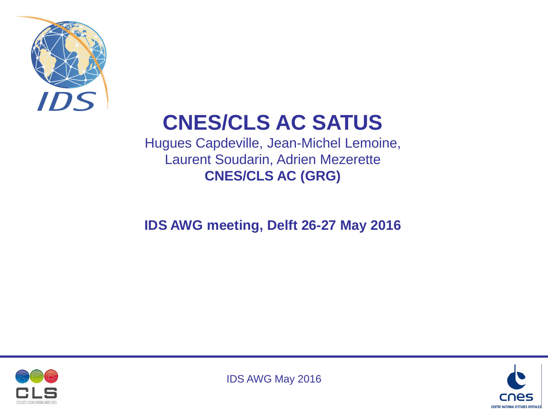

# **CNES/CLS AC SATUS**

Hugues Capdeville, Jean-Michel Lemoine, Laurent Soudarin, Adrien Mezerette **CNES/CLS AC (GRG)**

#### **IDS AWG meeting, Delft 26-27 May 2016**



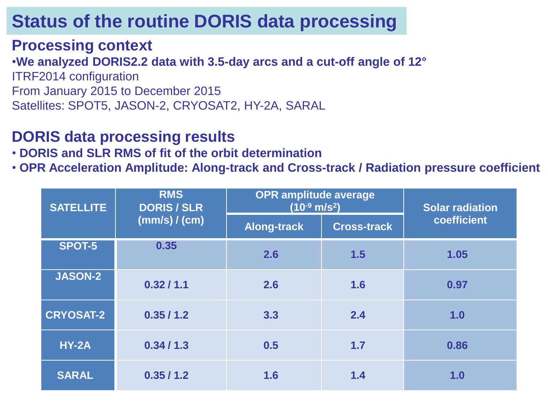#### **Processing context**

•**We analyzed DORIS2.2 data with 3.5-day arcs and a cut-off angle of 12°** ITRF2014 configuration From January 2015 to December 2015 Satellites: SPOT5, JASON-2, CRYOSAT2, HY-2A, SARAL

#### **DORIS data processing results**

• **DORIS and SLR RMS of fit of the orbit determination**

• **OPR Acceleration Amplitude: Along-track and Cross-track / Radiation pressure coefficient** 

| <b>SATELLITE</b> | <b>RMS</b><br><b>DORIS / SLR</b><br>(mm/s) / (cm) | <b>OPR amplitude average</b><br>$(10^{-9} \text{ m/s}^2)$ |                    | <b>Solar radiation</b> |
|------------------|---------------------------------------------------|-----------------------------------------------------------|--------------------|------------------------|
|                  |                                                   | <b>Along-track</b>                                        | <b>Cross-track</b> | coefficient            |
| <b>SPOT-5</b>    | 0.35                                              | 2.6                                                       | 1.5                | 1.05                   |
| <b>JASON-2</b>   | 0.32/1.1                                          | 2.6                                                       | 1.6                | 0.97                   |
| <b>CRYOSAT-2</b> | 0.35/1.2                                          | 3.3                                                       | 2.4                | 1.0                    |
| <b>HY-2A</b>     | 0.34/1.3                                          | 0.5                                                       | 1.7                | 0.86                   |
| <b>SARAL</b>     | 0.35/1.2                                          | 1.6                                                       | 1.4                | 1.0                    |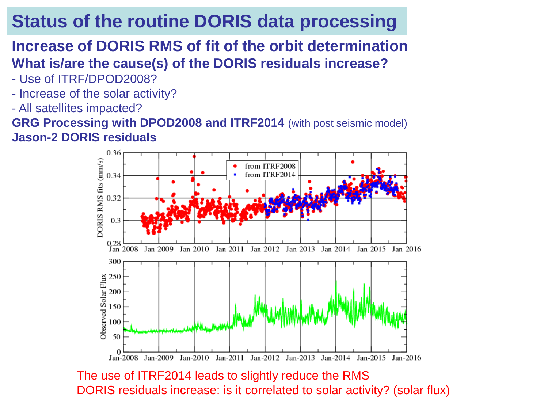#### **Increase of DORIS RMS of fit of the orbit determination What is/are the cause(s) of the DORIS residuals increase?**

- Use of ITRF/DPOD2008?
- Increase of the solar activity?
- All satellites impacted?

**GRG Processing with DPOD2008 and ITRF2014** (with post seismic model) **Jason-2 DORIS residuals**



The use of ITRF2014 leads to slightly reduce the RMS DORIS residuals increase: is it correlated to solar activity? (solar flux)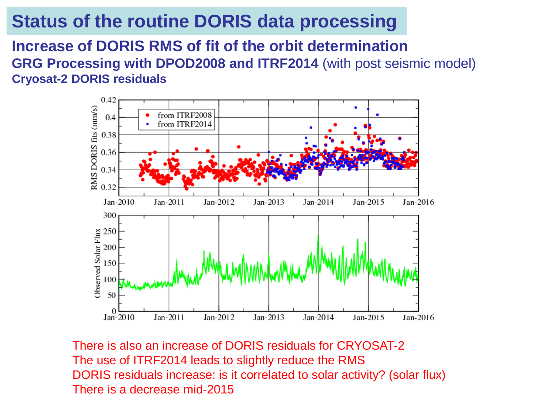**Increase of DORIS RMS of fit of the orbit determination GRG Processing with DPOD2008 and ITRF2014** (with post seismic model) **Cryosat-2 DORIS residuals**



There is also an increase of DORIS residuals for CRYOSAT-2 The use of ITRF2014 leads to slightly reduce the RMS DORIS residuals increase: is it correlated to solar activity? (solar flux) There is a decrease mid-2015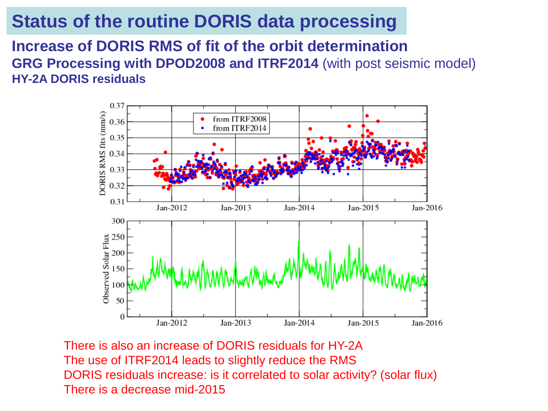#### **Increase of DORIS RMS of fit of the orbit determination GRG Processing with DPOD2008 and ITRF2014** (with post seismic model) **HY-2A DORIS residuals**



There is also an increase of DORIS residuals for HY-2A The use of ITRF2014 leads to slightly reduce the RMS DORIS residuals increase: is it correlated to solar activity? (solar flux) There is a decrease mid-2015